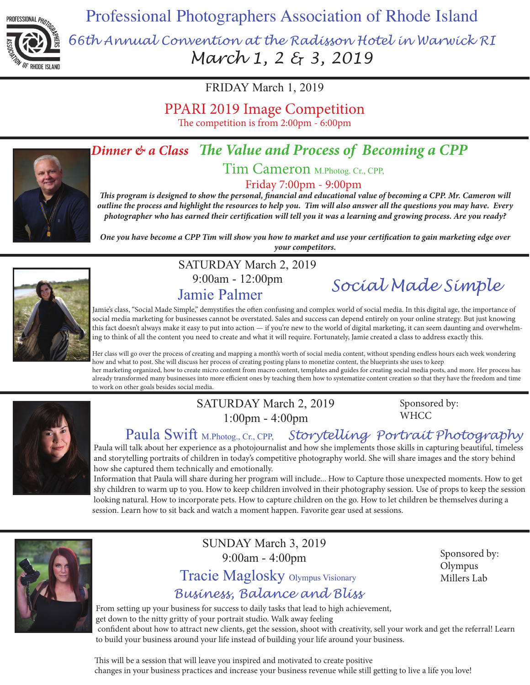

Professional Photographers Association of Rhode Island

*66th Annual Convention at the Radisson Hotel in Warwick RI March 1, 2 & 3, 2019* 

FRIDAY March 1, 2019

PPARI 2019 Image Competition

The competition is from 2:00pm - 6:00pm



# *Dinner & a Class The Value and Process of Becoming a CPP*

Tim Cameron M.Photog. Cr., CPP,

Friday 7:00pm - 9:00pm

*This program is designed to show the personal, financial and educational value of becoming a CPP. Mr. Cameron will outline the process and highlight the resources to help you. Tim will also answer all the questions you may have. Every photographer who has earned their certification will tell you it was a learning and growing process. Are you ready?*

*One you have become a CPP Tim will show you how to market and use your certification to gain marketing edge over your competitors.*



SATURDAY March 2, 2019 9:00am - 12:00pm

Jamie Palmer *Social Made Simple*

Jamie's class, "Social Made Simple," demystifies the often confusing and complex world of social media. In this digital age, the importance of social media marketing for businesses cannot be overstated. Sales and success can depend entirely on your online strategy. But just knowing this fact doesn't always make it easy to put into action — if you're new to the world of digital marketing, it can seem daunting and overwhelming to think of all the content you need to create and what it will require. Fortunately, Jamie created a class to address exactly this.

Her class will go over the process of creating and mapping a month's worth of social media content, without spending endless hours each week wondering how and what to post. She will discuss her process of creating posting plans to monetize content, the blueprints she uses to keep her marketing organized, how to create micro content from macro content, templates and guides for creating social media posts, and more. Her process has already transformed many businesses into more efficient ones by teaching them how to systematize content creation so that they have the freedom and time to work on other goals besides social media.



### SATURDAY March 2, 2019 1:00pm - 4:00pm

Sponsored by: **WHCC** 

Paula Swift M.Photog., Cr., CPP, *Storytelling Portrait Photography*

Paula will talk about her experience as a photojournalist and how she implements those skills in capturing beautiful, timeless and storytelling portraits of children in today's competitive photography world. She will share images and the story behind how she captured them technically and emotionally.

Information that Paula will share during her program will include... How to Capture those unexpected moments. How to get shy children to warm up to you. How to keep children involved in their photography session. Use of props to keep the session looking natural. How to incorporate pets. How to capture children on the go. How to let children be themselves during a session. Learn how to sit back and watch a moment happen. Favorite gear used at sessions.



SUNDAY March 3, 2019 9:00am - 4:00pm Tracie Maglosky Olympus Visionary

### *Business, Balance and Bliss*

Sponsored by: Olympus Millers Lab

From setting up your business for success to daily tasks that lead to high achievement, get down to the nitty gritty of your portrait studio. Walk away feeling confident about how to attract new clients, get the session, shoot with creativity, sell your work and get the referral! Learn to build your business around your life instead of building your life around your business.

This will be a session that will leave you inspired and motivated to create positive changes in your business practices and increase your business revenue while still getting to live a life you love!